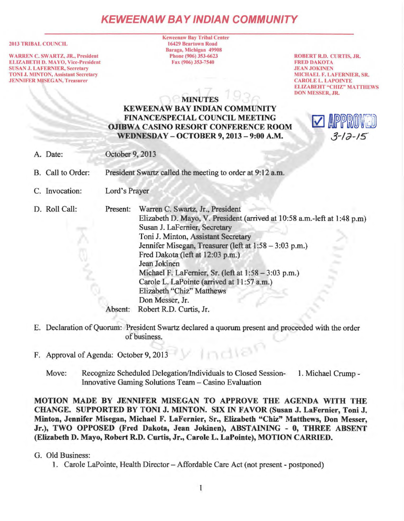## **KEWEENAW BAY IND/AN COMMUNITY**

#### 2013 TRIBAL COUNCIL

WARREN C. SWARTZ, JR., President ELIZABETH D. MAYO, Vice-President SUSAN J. LAFERNIER, Secretary TONI J. MINTON, Assistant Secretary **JENNIFER MISEGAN, Treasurer** 

Keweenaw Bay Tribal Center 16429 Beartown Road Baraga, Michigan 49908 Phone (906) 353-6623 Fax (906) 353-7540

ROBERT R.O. CURTIS, JR. **FRED DAKOTA JEAN JOKINEN** MICHAEL F. LA FERNIER, SR. CAROLE L. LAPOINTE ELIZABEHT "CHIZ" MATTHEWS DON MESSER, JR.

# **MINUTES**

### KEWEENAW BAY INDIAN COMMUNITY FINANCE/SPECIAL COUNCIL MEETING OJIBWA CASINO RESORT CONFERENCE ROOM WEDNESDAY - OCTOBER 9, 2013 - 9:00 A.M.



A. Date: October 9, 2013

B. Call to Order: President Swartz called the meeting to order at 9:12 a.m.

C. Invocation: Lord's Prayer

D. Roll Call:

Present: Warren C. Swartz, Jr., President Elizabeth D. Mayo, V. President (arrived at 10:58 a.m.-left at 1 :48 p.m) Susan J. LaFemier, Secretary Toni J. Minton, Assistant Secretary Jennifer Misegan, Treasurer (left at 1:58 - 3:03 p.m.) Fred Dakota (left at 12:03 p.m.) Jean Jokinen Michael F. LaFernier, Sr. (left at  $1:58 - 3:03$  p.m.) Carole L. LaPointe (arrived at 11 :57 a.m.) Elizabeth "Chiz" Matthews Don Messer, Jr. Absent: Robert R.D. Curtis, Jr.

- E. Declaration of Quorum: President Swartz declared a quorum present and proceeded with the order of business.
- F. Approval of Agenda: October 9, 2013
	- Move: Recognize Scheduled Delegation/Individuals to Closed Session- 1. Michael Crump Innovative Gaming Solutions Team - Casino Evaluation

MOTION MADE BY JENNIFER MISEGAN TO APPROVE THE AGENDA WITH THE CHANGE. SUPPORTED BY TONI J. MINTON. SIX IN FAVOR (Susan J. LaFernier, Toni J. Minton, Jennifer Misegan, Michael F. LaFernier, Sr., Elizabeth "Chiz" Matthews, Don Messer, Jr.), TWO OPPOSED (Fred Dakota, Jean Jokinen), ABSTAINING - 0, THREE ABSENT (Elizabeth D. Mayo, Robert R.D. Curtis, Jr., Carole L. LaPointe), MOTION CARRIED.

- G. Old Business:
	- 1. Carole LaPointe, Health Director Affordable Care Act (not present postponed)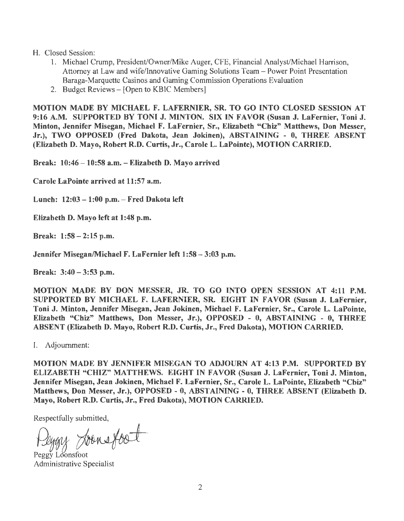#### H. Closed Session:

- 1. Michael Crump, President/Owner/Mike Auger, CFE, Financial Analyst/Michael Harrison, Attorney at Law and wife/Innovative Gaming Solutions Team - Power Point Presentation Baraga-Marquette Casinos and Gaming Commission Operations Evaluation
- 2. Budget Reviews- [Open to KBIC Members]

MOTION MADE BY MICHAEL F. LAFERNIER, SR. TO GO INTO CLOSED SESSION AT 9:16 A.M. SUPPORTED BY TONI J. MINTON. SIX IN FAVOR (Susan J. LaFernier, Toni J. Minton, Jennifer Misegan, Michael F. LaFernier, Sr., Elizabeth "Chiz" Matthews, Don Messer, Jr.), TWO OPPOSED (Fred Dakota, Jean Jokinen), ABSTAINING - 0, THREE ABSENT (Elizabeth D. Mayo, Robert R.D. Curtis, Jr., Carole L. LaPointe), MOTION CARRIED.

Break: 10:46-10:58 a.m. - Elizabeth D. Mayo arrived

Carole LaPointe arrived at 11:57 a.m.

Lunch: 12:03-1:00 p.m. -Fred Dakota left

Elizabeth D. Mayo left at 1:48 p.m.

Break: 1:58- 2:15 p.m.

Jennifer Misegan/Michael F. LaFernier left 1:58-3:03 p.m.

Break: 3:40-3:53 p.m.

MOTION MADE BY DON MESSER, JR. TO GO INTO OPEN SESSION AT 4:11 P.M. SUPPORTED BY MICHAEL F. LAFERNIER, SR. EIGHT IN FAVOR (Susan J. LaFernier, Toni J. Minton, Jennifer Misegan, Jean Jokinen, Michael F. LaFernier, Sr., Carole L. LaPointe, Elizabeth "Chiz" Matthews, Don Messer, Jr.), OPPOSED - 0, ABSTAINING - 0, THREE ABSENT (Elizabeth D. Mayo, Robert R.D. Curtis, Jr., Fred Dakota), MOTION CARRIED.

I. Adjournment:

MOTION MADE BY JENNIFER MISEGAN TO ADJOURN AT 4:13 P.M. SUPPORTED BY ELIZABETH "CHIZ" MATTHEWS. EIGHT IN FAVOR (Susan J. LaFernier, Toni J. Minton, Jennifer Misegan, Jean Jokinen, Michael F. LaFernier, Sr., Carole L. LaPointe, Elizabeth "Chiz" Matthews, Don Messer, Jr.), OPPOSED - 0, ABSTAINING - 0, THREE ABSENT (Elizabeth D. Mayo, Robert R.D. Curtis, Jr., Fred Dakota), MOTION CARRIED.

Respectfully submitted,

Peggy Loonsfoot

Administrative Specialist